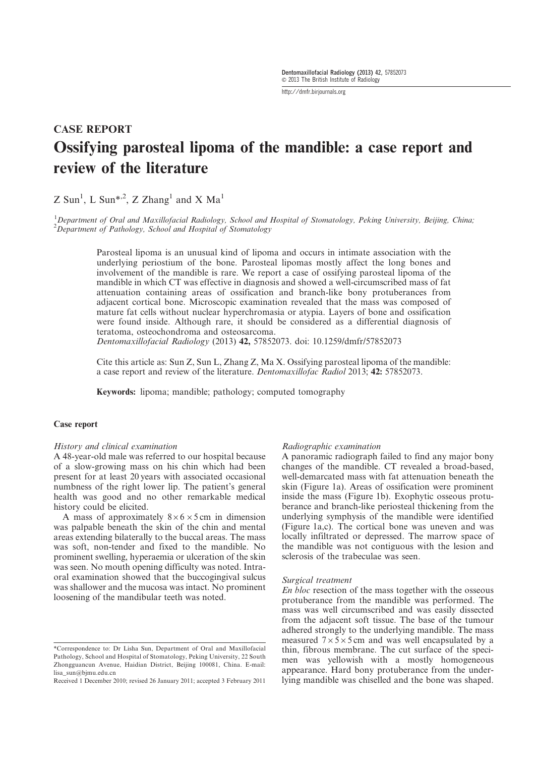http://dmfr.birjournals.org

# CASE REPORT Ossifying parosteal lipoma of the mandible: a case report and review of the literature

# $Z$  Sun<sup>1</sup>, L Sun<sup>\*,2</sup>, Z Zhang<sup>1</sup> and X Ma<sup>1</sup>

<sup>1</sup>Department of Oral and Maxillofacial Radiology, School and Hospital of Stomatology, Peking University, Beijing, China;  $2D$ epartment of Pathology, School and Hospital of Stomatology

Parosteal lipoma is an unusual kind of lipoma and occurs in intimate association with the underlying periostium of the bone. Parosteal lipomas mostly affect the long bones and involvement of the mandible is rare. We report a case of ossifying parosteal lipoma of the mandible in which CT was effective in diagnosis and showed a well-circumscribed mass of fat attenuation containing areas of ossification and branch-like bony protuberances from adjacent cortical bone. Microscopic examination revealed that the mass was composed of mature fat cells without nuclear hyperchromasia or atypia. Layers of bone and ossification were found inside. Although rare, it should be considered as a differential diagnosis of teratoma, osteochondroma and osteosarcoma.

Dentomaxillofacial Radiology (2013) 42, 57852073. doi: 10.1259/dmfr/57852073

Cite this article as: Sun Z, Sun L, Zhang Z, Ma X. Ossifying parosteal lipoma of the mandible: a case report and review of the literature. Dentomaxillofac Radiol 2013; 42: 57852073.

Keywords: lipoma; mandible; pathology; computed tomography

## Case report

#### History and clinical examination

A 48-year-old male was referred to our hospital because of a slow-growing mass on his chin which had been present for at least 20 years with associated occasional numbness of the right lower lip. The patient's general health was good and no other remarkable medical history could be elicited.

A mass of approximately  $8 \times 6 \times 5$  cm in dimension was palpable beneath the skin of the chin and mental areas extending bilaterally to the buccal areas. The mass was soft, non-tender and fixed to the mandible. No prominent swelling, hyperaemia or ulceration of the skin was seen. No mouth opening difficulty was noted. Intraoral examination showed that the buccogingival sulcus was shallower and the mucosa was intact. No prominent loosening of the mandibular teeth was noted.

#### Radiographic examination

A panoramic radiograph failed to find any major bony changes of the mandible. CT revealed a broad-based, well-demarcated mass with fat attenuation beneath the skin (Figure 1a). Areas of ossification were prominent inside the mass (Figure 1b). Exophytic osseous protuberance and branch-like periosteal thickening from the underlying symphysis of the mandible were identified (Figure 1a,c). The cortical bone was uneven and was locally infiltrated or depressed. The marrow space of the mandible was not contiguous with the lesion and sclerosis of the trabeculae was seen.

#### Surgical treatment

En bloc resection of the mass together with the osseous protuberance from the mandible was performed. The mass was well circumscribed and was easily dissected from the adjacent soft tissue. The base of the tumour adhered strongly to the underlying mandible. The mass measured  $7 \times 5 \times 5$  cm and was well encapsulated by a thin, fibrous membrane. The cut surface of the specimen was yellowish with a mostly homogeneous appearance. Hard bony protuberance from the underlying mandible was chiselled and the bone was shaped.

<sup>\*</sup>Correspondence to: Dr Lisha Sun, Department of Oral and Maxillofacial Pathology, School and Hospital of Stomatology, Peking University, 22 South Zhongguancun Avenue, Haidian District, Beijing 100081, China. E-mail: lisa\_sun@bjmu.edu.cn

Received 1 December 2010; revised 26 January 2011; accepted 3 February 2011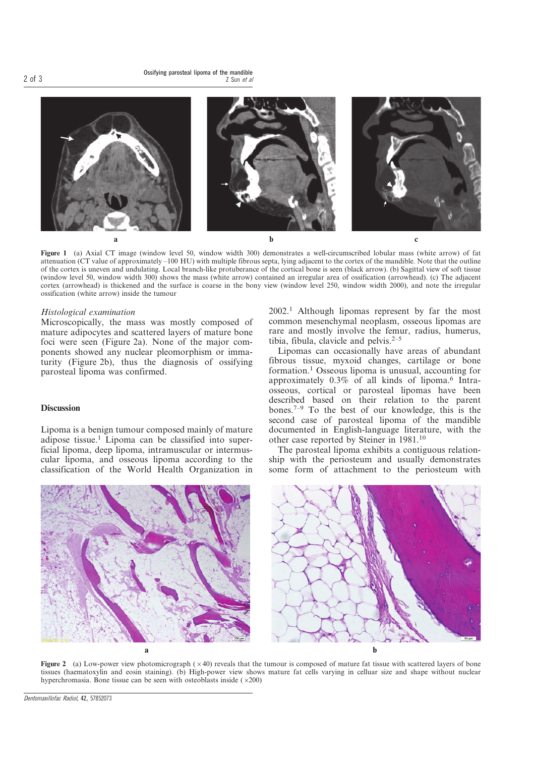

Figure 1 (a) Axial CT image (window level 50, window width 300) demonstrates a well-circumscribed lobular mass (white arrow) of fat attenuation (CT value of approximately –100 HU) with multiple fibrous septa, lying adjacent to the cortex of the mandible. Note that the outline of the cortex is uneven and undulating. Local branch-like protuberance of the cortical bone is seen (black arrow). (b) Sagittal view of soft tissue (window level 50, window width 300) shows the mass (white arrow) contained an irregular area of ossification (arrowhead). (c) The adjacent cortex (arrowhead) is thickened and the surface is coarse in the bony view (window level 250, window width 2000), and note the irregular ossification (white arrow) inside the tumour

#### Histological examination

Microscopically, the mass was mostly composed of mature adipocytes and scattered layers of mature bone foci were seen (Figure 2a). None of the major components showed any nuclear pleomorphism or immaturity (Figure 2b), thus the diagnosis of ossifying parosteal lipoma was confirmed.

### **Discussion**

Lipoma is a benign tumour composed mainly of mature adipose tissue.<sup>1</sup> Lipoma can be classified into superficial lipoma, deep lipoma, intramuscular or intermuscular lipoma, and osseous lipoma according to the classification of the World Health Organization in

2002.<sup>1</sup> Although lipomas represent by far the most common mesenchymal neoplasm, osseous lipomas are rare and mostly involve the femur, radius, humerus, tibia, fibula, clavicle and pelvis. $2-5$ 

Lipomas can occasionally have areas of abundant fibrous tissue, myxoid changes, cartilage or bone formation.<sup>1</sup> Osseous lipoma is unusual, accounting for approximately  $0.3\%$  of all kinds of lipoma.<sup>6</sup> Intraosseous, cortical or parosteal lipomas have been described based on their relation to the parent bones.<sup> $7-9$ </sup> To the best of our knowledge, this is the second case of parosteal lipoma of the mandible documented in English-language literature, with the other case reported by Steiner in 1981.<sup>10</sup>

The parosteal lipoma exhibits a contiguous relationship with the periosteum and usually demonstrates some form of attachment to the periosteum with



Figure 2 (a) Low-power view photomicrograph  $(x40)$  reveals that the tumour is composed of mature fat tissue with scattered layers of bone tissues (haematoxylin and eosin staining). (b) High-power view shows mature fat cells varying in celluar size and shape without nuclear hyperchromasia. Bone tissue can be seen with osteoblasts inside  $(\times 200)$